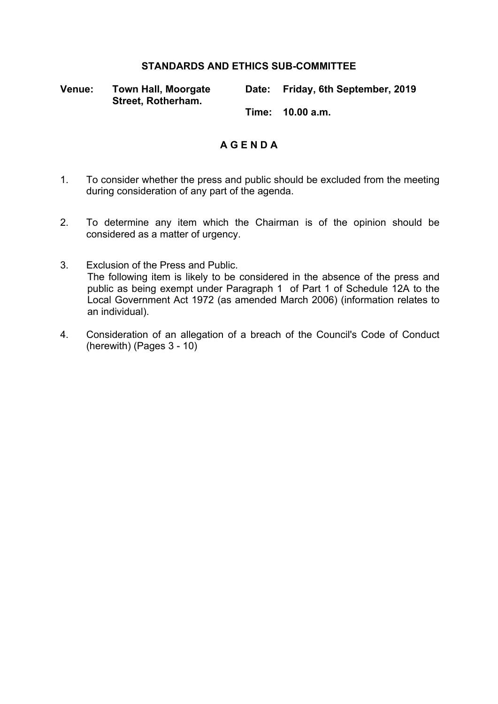## **STANDARDS AND ETHICS SUB-COMMITTEE**

**Venue: Town Hall, Moorgate Street, Rotherham.**

**Date: Friday, 6th September, 2019**

**Time: 10.00 a.m.**

# **A G E N D A**

- 1. To consider whether the press and public should be excluded from the meeting during consideration of any part of the agenda.
- 2. To determine any item which the Chairman is of the opinion should be considered as a matter of urgency.
- 3. Exclusion of the Press and Public. The following item is likely to be considered in the absence of the press and public as being exempt under Paragraph 1 of Part 1 of Schedule 12A to the Local Government Act 1972 (as amended March 2006) (information relates to an individual).
- 4. Consideration of an allegation of a breach of the Council's Code of Conduct (herewith) (Pages 3 - 10)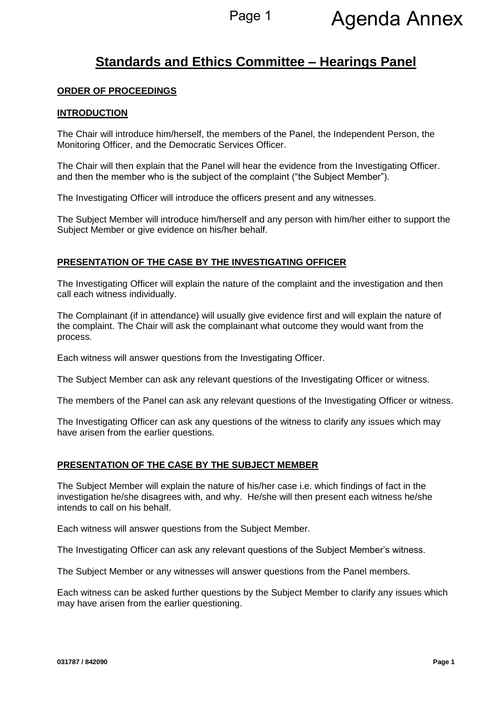# **Standards and Ethics Committee – Hearings Panel**

#### **ORDER OF PROCEEDINGS**

#### **INTRODUCTION**

The Chair will introduce him/herself, the members of the Panel, the Independent Person, the Monitoring Officer, and the Democratic Services Officer.

The Chair will then explain that the Panel will hear the evidence from the Investigating Officer. and then the member who is the subject of the complaint ("the Subject Member").

The Investigating Officer will introduce the officers present and any witnesses.

The Subject Member will introduce him/herself and any person with him/her either to support the Subject Member or give evidence on his/her behalf.

#### **PRESENTATION OF THE CASE BY THE INVESTIGATING OFFICER**

The Investigating Officer will explain the nature of the complaint and the investigation and then call each witness individually.

The Complainant (if in attendance) will usually give evidence first and will explain the nature of the complaint. The Chair will ask the complainant what outcome they would want from the process.

Each witness will answer questions from the Investigating Officer.

The Subject Member can ask any relevant questions of the Investigating Officer or witness.

The members of the Panel can ask any relevant questions of the Investigating Officer or witness.

The Investigating Officer can ask any questions of the witness to clarify any issues which may have arisen from the earlier questions.

#### **PRESENTATION OF THE CASE BY THE SUBJECT MEMBER**

The Subject Member will explain the nature of his/her case i.e. which findings of fact in the investigation he/she disagrees with, and why. He/she will then present each witness he/she intends to call on his behalf.

Each witness will answer questions from the Subject Member.

The Investigating Officer can ask any relevant questions of the Subject Member's witness.

The Subject Member or any witnesses will answer questions from the Panel members.

Each witness can be asked further questions by the Subject Member to clarify any issues which may have arisen from the earlier questioning.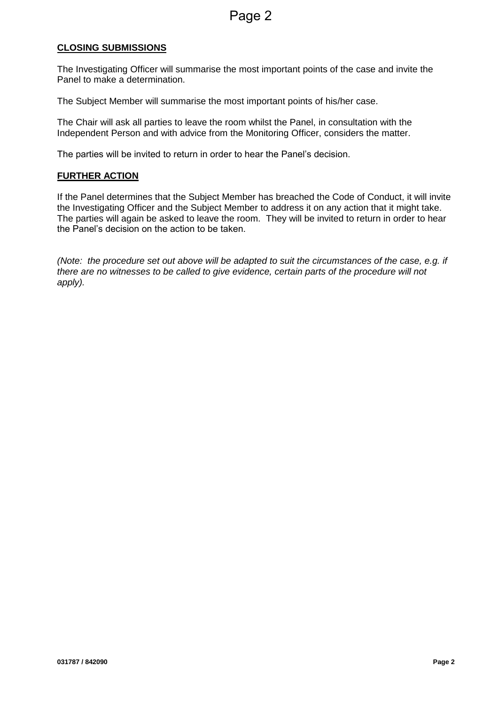### **CLOSING SUBMISSIONS**

The Investigating Officer will summarise the most important points of the case and invite the Panel to make a determination.

The Subject Member will summarise the most important points of his/her case.

The Chair will ask all parties to leave the room whilst the Panel, in consultation with the Independent Person and with advice from the Monitoring Officer, considers the matter.

The parties will be invited to return in order to hear the Panel's decision.

#### **FURTHER ACTION**

If the Panel determines that the Subject Member has breached the Code of Conduct, it will invite the Investigating Officer and the Subject Member to address it on any action that it might take. The parties will again be asked to leave the room. They will be invited to return in order to hear the Panel's decision on the action to be taken.

*(Note: the procedure set out above will be adapted to suit the circumstances of the case, e.g. if there are no witnesses to be called to give evidence, certain parts of the procedure will not apply).*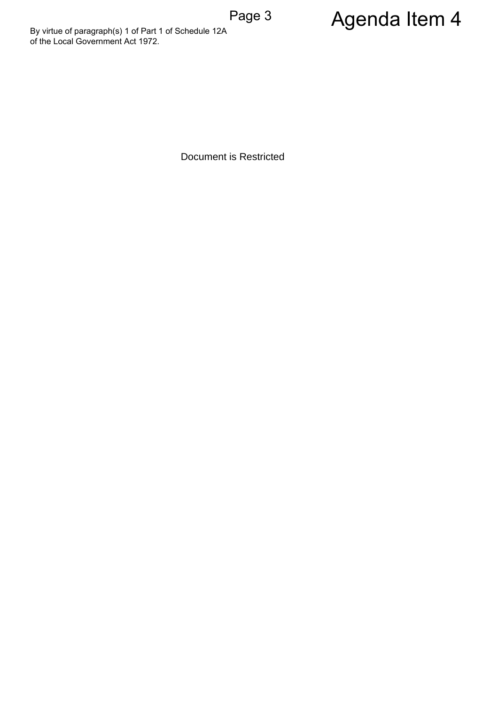By virtue of paragraph(s) 1 of Part 1 of Schedule 12A<br>
of the Local Government Act 1972.<br>
Document is Restricted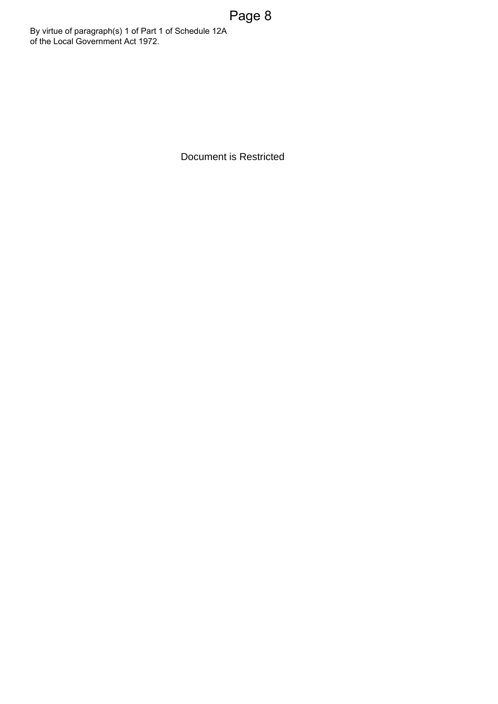Document is Restricted Page 8 By virtue of paragraph(s) 1 of Part 1 of Schedule 12A<br>
of the Local Government Act 1972.<br>
Document is Restricted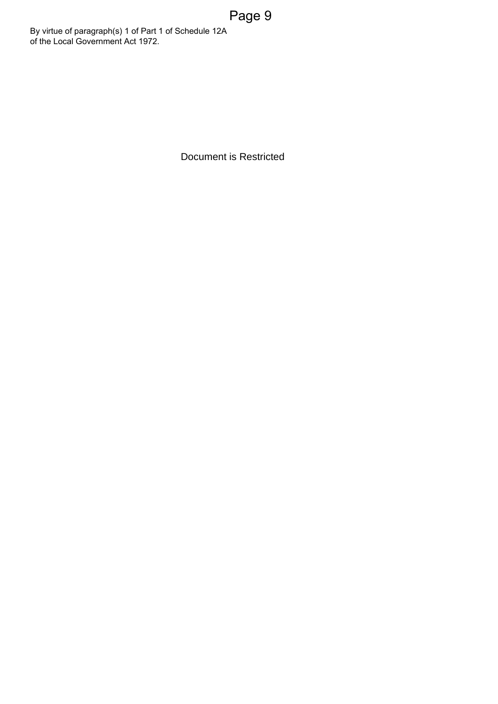Document is Restricted Page 9 By virtue of paragraph(s) 1 of Part 1 of Schedule 12A<br>
of the Local Government Act 1972.<br>
Document is Restricted